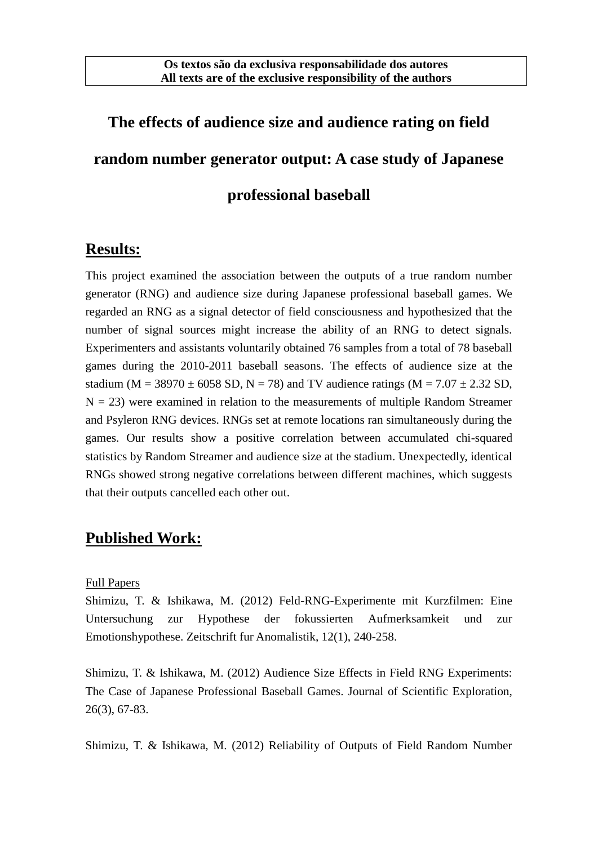# **The effects of audience size and audience rating on field random number generator output: A case study of Japanese professional baseball**

## **Results:**

This project examined the association between the outputs of a true random number generator (RNG) and audience size during Japanese professional baseball games. We regarded an RNG as a signal detector of field consciousness and hypothesized that the number of signal sources might increase the ability of an RNG to detect signals. Experimenters and assistants voluntarily obtained 76 samples from a total of 78 baseball games during the 2010-2011 baseball seasons. The effects of audience size at the stadium (M = 38970  $\pm$  6058 SD, N = 78) and TV audience ratings (M = 7.07  $\pm$  2.32 SD,  $N = 23$ ) were examined in relation to the measurements of multiple Random Streamer and Psyleron RNG devices. RNGs set at remote locations ran simultaneously during the games. Our results show a positive correlation between accumulated chi-squared statistics by Random Streamer and audience size at the stadium. Unexpectedly, identical RNGs showed strong negative correlations between different machines, which suggests that their outputs cancelled each other out.

## **Published Work:**

#### Full Papers

Shimizu, T. & Ishikawa, M. (2012) Feld-RNG-Experimente mit Kurzfilmen: Eine Untersuchung zur Hypothese der fokussierten Aufmerksamkeit und zur Emotionshypothese. Zeitschrift fur Anomalistik, 12(1), 240-258.

Shimizu, T. & Ishikawa, M. (2012) Audience Size Effects in Field RNG Experiments: The Case of Japanese Professional Baseball Games. Journal of Scientific Exploration, 26(3), 67-83.

Shimizu, T. & Ishikawa, M. (2012) Reliability of Outputs of Field Random Number